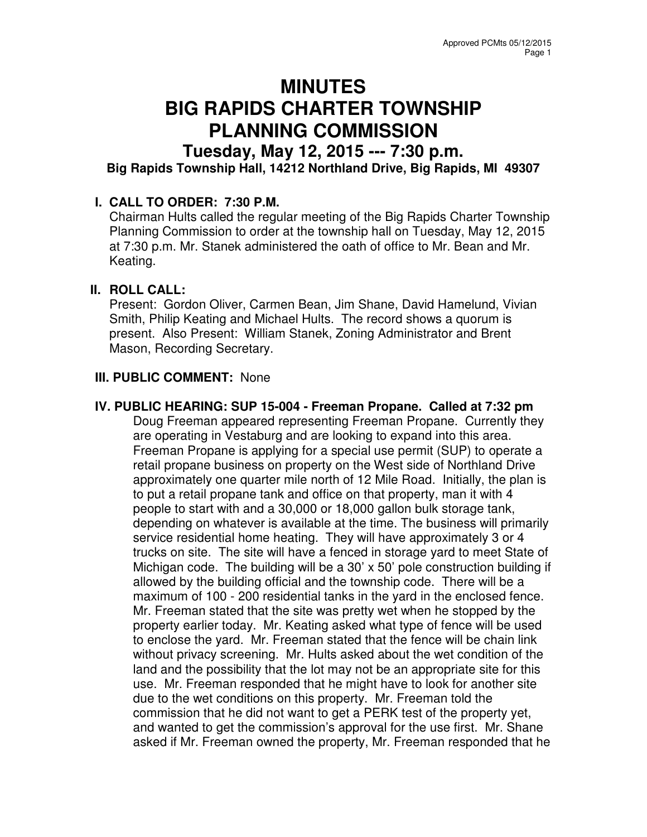# **MINUTES BIG RAPIDS CHARTER TOWNSHIP PLANNING COMMISSION**

# **Tuesday, May 12, 2015 --- 7:30 p.m.**

**Big Rapids Township Hall, 14212 Northland Drive, Big Rapids, MI 49307** 

# **I. CALL TO ORDER: 7:30 P.M.**

Chairman Hults called the regular meeting of the Big Rapids Charter Township Planning Commission to order at the township hall on Tuesday, May 12, 2015 at 7:30 p.m. Mr. Stanek administered the oath of office to Mr. Bean and Mr. Keating.

# **II. ROLL CALL:**

Present: Gordon Oliver, Carmen Bean, Jim Shane, David Hamelund, Vivian Smith, Philip Keating and Michael Hults. The record shows a quorum is present. Also Present: William Stanek, Zoning Administrator and Brent Mason, Recording Secretary.

# **III. PUBLIC COMMENT:** None

#### **IV. PUBLIC HEARING: SUP 15-004 - Freeman Propane. Called at 7:32 pm**

Doug Freeman appeared representing Freeman Propane. Currently they are operating in Vestaburg and are looking to expand into this area. Freeman Propane is applying for a special use permit (SUP) to operate a retail propane business on property on the West side of Northland Drive approximately one quarter mile north of 12 Mile Road. Initially, the plan is to put a retail propane tank and office on that property, man it with 4 people to start with and a 30,000 or 18,000 gallon bulk storage tank, depending on whatever is available at the time. The business will primarily service residential home heating. They will have approximately 3 or 4 trucks on site. The site will have a fenced in storage yard to meet State of Michigan code. The building will be a 30' x 50' pole construction building if allowed by the building official and the township code. There will be a maximum of 100 - 200 residential tanks in the yard in the enclosed fence. Mr. Freeman stated that the site was pretty wet when he stopped by the property earlier today. Mr. Keating asked what type of fence will be used to enclose the yard. Mr. Freeman stated that the fence will be chain link without privacy screening. Mr. Hults asked about the wet condition of the land and the possibility that the lot may not be an appropriate site for this use. Mr. Freeman responded that he might have to look for another site due to the wet conditions on this property. Mr. Freeman told the commission that he did not want to get a PERK test of the property yet, and wanted to get the commission's approval for the use first. Mr. Shane asked if Mr. Freeman owned the property, Mr. Freeman responded that he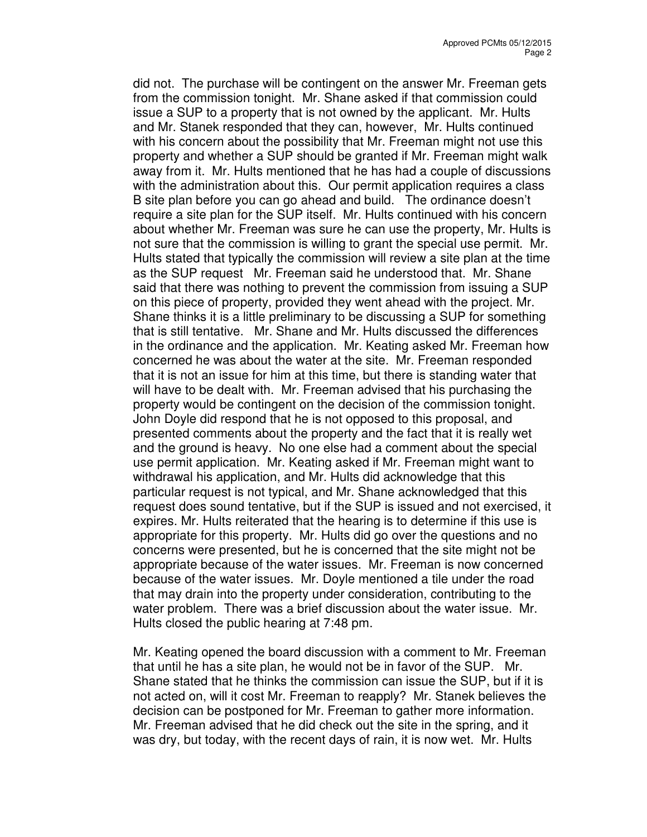did not. The purchase will be contingent on the answer Mr. Freeman gets from the commission tonight. Mr. Shane asked if that commission could issue a SUP to a property that is not owned by the applicant. Mr. Hults and Mr. Stanek responded that they can, however, Mr. Hults continued with his concern about the possibility that Mr. Freeman might not use this property and whether a SUP should be granted if Mr. Freeman might walk away from it. Mr. Hults mentioned that he has had a couple of discussions with the administration about this. Our permit application requires a class B site plan before you can go ahead and build. The ordinance doesn't require a site plan for the SUP itself. Mr. Hults continued with his concern about whether Mr. Freeman was sure he can use the property, Mr. Hults is not sure that the commission is willing to grant the special use permit. Mr. Hults stated that typically the commission will review a site plan at the time as the SUP request Mr. Freeman said he understood that. Mr. Shane said that there was nothing to prevent the commission from issuing a SUP on this piece of property, provided they went ahead with the project. Mr. Shane thinks it is a little preliminary to be discussing a SUP for something that is still tentative. Mr. Shane and Mr. Hults discussed the differences in the ordinance and the application. Mr. Keating asked Mr. Freeman how concerned he was about the water at the site. Mr. Freeman responded that it is not an issue for him at this time, but there is standing water that will have to be dealt with. Mr. Freeman advised that his purchasing the property would be contingent on the decision of the commission tonight. John Doyle did respond that he is not opposed to this proposal, and presented comments about the property and the fact that it is really wet and the ground is heavy. No one else had a comment about the special use permit application. Mr. Keating asked if Mr. Freeman might want to withdrawal his application, and Mr. Hults did acknowledge that this particular request is not typical, and Mr. Shane acknowledged that this request does sound tentative, but if the SUP is issued and not exercised, it expires. Mr. Hults reiterated that the hearing is to determine if this use is appropriate for this property. Mr. Hults did go over the questions and no concerns were presented, but he is concerned that the site might not be appropriate because of the water issues. Mr. Freeman is now concerned because of the water issues. Mr. Doyle mentioned a tile under the road that may drain into the property under consideration, contributing to the water problem. There was a brief discussion about the water issue. Mr. Hults closed the public hearing at 7:48 pm.

Mr. Keating opened the board discussion with a comment to Mr. Freeman that until he has a site plan, he would not be in favor of the SUP. Mr. Shane stated that he thinks the commission can issue the SUP, but if it is not acted on, will it cost Mr. Freeman to reapply? Mr. Stanek believes the decision can be postponed for Mr. Freeman to gather more information. Mr. Freeman advised that he did check out the site in the spring, and it was dry, but today, with the recent days of rain, it is now wet. Mr. Hults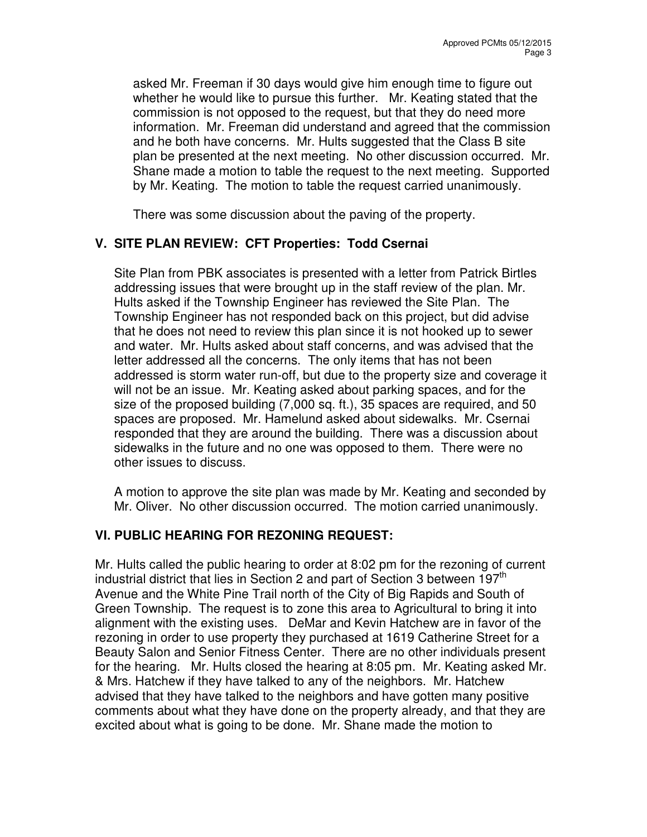asked Mr. Freeman if 30 days would give him enough time to figure out whether he would like to pursue this further. Mr. Keating stated that the commission is not opposed to the request, but that they do need more information. Mr. Freeman did understand and agreed that the commission and he both have concerns. Mr. Hults suggested that the Class B site plan be presented at the next meeting. No other discussion occurred. Mr. Shane made a motion to table the request to the next meeting. Supported by Mr. Keating. The motion to table the request carried unanimously.

There was some discussion about the paving of the property.

# **V. SITE PLAN REVIEW: CFT Properties: Todd Csernai**

Site Plan from PBK associates is presented with a letter from Patrick Birtles addressing issues that were brought up in the staff review of the plan. Mr. Hults asked if the Township Engineer has reviewed the Site Plan. The Township Engineer has not responded back on this project, but did advise that he does not need to review this plan since it is not hooked up to sewer and water. Mr. Hults asked about staff concerns, and was advised that the letter addressed all the concerns. The only items that has not been addressed is storm water run-off, but due to the property size and coverage it will not be an issue. Mr. Keating asked about parking spaces, and for the size of the proposed building (7,000 sq. ft.), 35 spaces are required, and 50 spaces are proposed. Mr. Hamelund asked about sidewalks. Mr. Csernai responded that they are around the building. There was a discussion about sidewalks in the future and no one was opposed to them. There were no other issues to discuss.

A motion to approve the site plan was made by Mr. Keating and seconded by Mr. Oliver. No other discussion occurred. The motion carried unanimously.

#### **VI. PUBLIC HEARING FOR REZONING REQUEST:**

Mr. Hults called the public hearing to order at 8:02 pm for the rezoning of current industrial district that lies in Section 2 and part of Section 3 between 197 $^{\text{tn}}$ Avenue and the White Pine Trail north of the City of Big Rapids and South of Green Township. The request is to zone this area to Agricultural to bring it into alignment with the existing uses. DeMar and Kevin Hatchew are in favor of the rezoning in order to use property they purchased at 1619 Catherine Street for a Beauty Salon and Senior Fitness Center. There are no other individuals present for the hearing. Mr. Hults closed the hearing at 8:05 pm. Mr. Keating asked Mr. & Mrs. Hatchew if they have talked to any of the neighbors. Mr. Hatchew advised that they have talked to the neighbors and have gotten many positive comments about what they have done on the property already, and that they are excited about what is going to be done. Mr. Shane made the motion to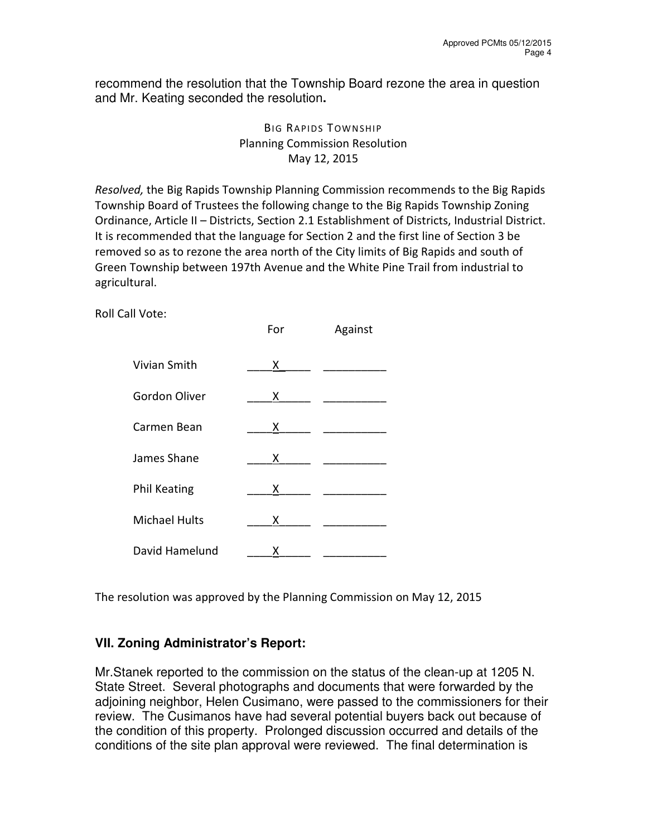recommend the resolution that the Township Board rezone the area in question and Mr. Keating seconded the resolution**.** 

# **BIG RAPIDS TOWNSHIP** Planning Commission Resolution May 12, 2015

Resolved, the Big Rapids Township Planning Commission recommends to the Big Rapids Township Board of Trustees the following change to the Big Rapids Township Zoning Ordinance, Article II – Districts, Section 2.1 Establishment of Districts, Industrial District. It is recommended that the language for Section 2 and the first line of Section 3 be removed so as to rezone the area north of the City limits of Big Rapids and south of Green Township between 197th Avenue and the White Pine Trail from industrial to agricultural.

Roll Call Vote:

|                      | For | Against |
|----------------------|-----|---------|
| Vivian Smith         | x.  |         |
| Gordon Oliver        | Χ   |         |
| Carmen Bean          | x.  |         |
| James Shane          | X.  |         |
| <b>Phil Keating</b>  | x   |         |
| <b>Michael Hults</b> | x   |         |
| David Hamelund       | х   |         |

The resolution was approved by the Planning Commission on May 12, 2015

# **VII. Zoning Administrator's Report:**

Mr.Stanek reported to the commission on the status of the clean-up at 1205 N. State Street. Several photographs and documents that were forwarded by the adjoining neighbor, Helen Cusimano, were passed to the commissioners for their review. The Cusimanos have had several potential buyers back out because of the condition of this property. Prolonged discussion occurred and details of the conditions of the site plan approval were reviewed. The final determination is